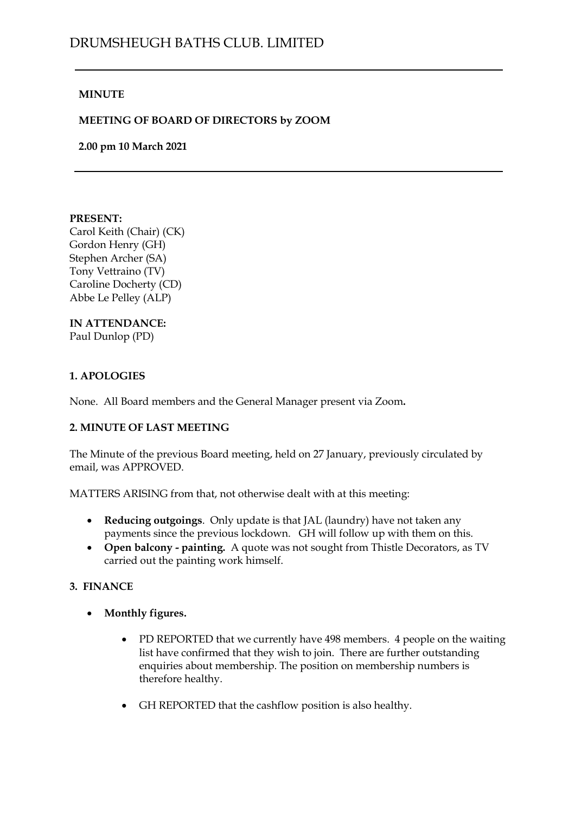#### **MINUTE**

#### **MEETING OF BOARD OF DIRECTORS by ZOOM**

**2.00 pm 10 March 2021**

#### **PRESENT:**

Carol Keith (Chair) (CK) Gordon Henry (GH) Stephen Archer (SA) Tony Vettraino (TV) Caroline Docherty (CD) Abbe Le Pelley (ALP)

# **IN ATTENDANCE:**

Paul Dunlop (PD)

#### **1. APOLOGIES**

None. All Board members and the General Manager present via Zoom**.**

### **2. MINUTE OF LAST MEETING**

The Minute of the previous Board meeting, held on 27 January, previously circulated by email, was APPROVED.

MATTERS ARISING from that, not otherwise dealt with at this meeting:

- **Reducing outgoings**. Only update is that JAL (laundry) have not taken any payments since the previous lockdown. GH will follow up with them on this.
- **Open balcony - painting.** A quote was not sought from Thistle Decorators, as TV carried out the painting work himself.

### **3. FINANCE**

- **Monthly figures.**
	- PD REPORTED that we currently have 498 members. 4 people on the waiting list have confirmed that they wish to join. There are further outstanding enquiries about membership. The position on membership numbers is therefore healthy.
	- GH REPORTED that the cashflow position is also healthy.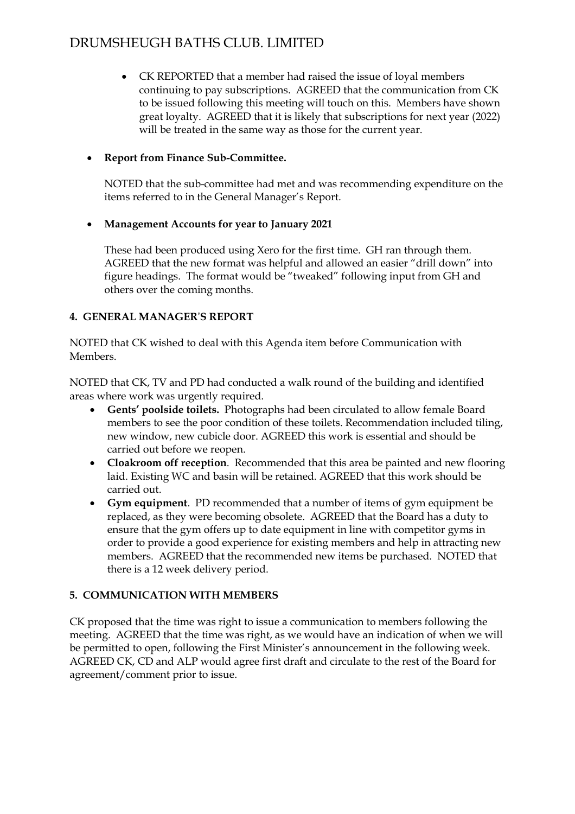## DRUMSHEUGH BATHS CLUB. LIMITED

• CK REPORTED that a member had raised the issue of loyal members continuing to pay subscriptions. AGREED that the communication from CK to be issued following this meeting will touch on this. Members have shown great loyalty. AGREED that it is likely that subscriptions for next year (2022) will be treated in the same way as those for the current year.

### • **Report from Finance Sub-Committee.**

NOTED that the sub-committee had met and was recommending expenditure on the items referred to in the General Manager's Report.

### • **Management Accounts for year to January 2021**

These had been produced using Xero for the first time. GH ran through them. AGREED that the new format was helpful and allowed an easier "drill down" into figure headings. The format would be "tweaked" following input from GH and others over the coming months.

### **4. GENERAL MANAGER**'**S REPORT**

NOTED that CK wished to deal with this Agenda item before Communication with Members.

NOTED that CK, TV and PD had conducted a walk round of the building and identified areas where work was urgently required.

- **Gents' poolside toilets.** Photographs had been circulated to allow female Board members to see the poor condition of these toilets. Recommendation included tiling, new window, new cubicle door. AGREED this work is essential and should be carried out before we reopen.
- **Cloakroom off reception**. Recommended that this area be painted and new flooring laid. Existing WC and basin will be retained. AGREED that this work should be carried out.
- **Gym equipment**. PD recommended that a number of items of gym equipment be replaced, as they were becoming obsolete. AGREED that the Board has a duty to ensure that the gym offers up to date equipment in line with competitor gyms in order to provide a good experience for existing members and help in attracting new members. AGREED that the recommended new items be purchased. NOTED that there is a 12 week delivery period.

### **5. COMMUNICATION WITH MEMBERS**

CK proposed that the time was right to issue a communication to members following the meeting. AGREED that the time was right, as we would have an indication of when we will be permitted to open, following the First Minister's announcement in the following week. AGREED CK, CD and ALP would agree first draft and circulate to the rest of the Board for agreement/comment prior to issue.